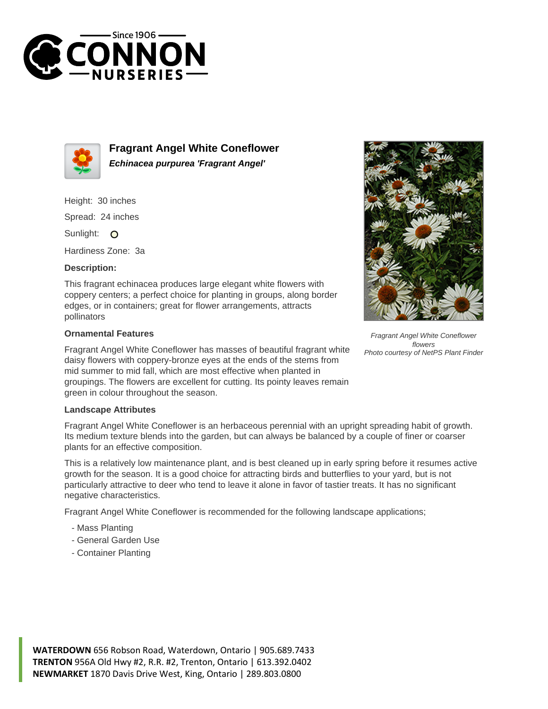



**Fragrant Angel White Coneflower Echinacea purpurea 'Fragrant Angel'**

Height: 30 inches

Spread: 24 inches

Sunlight: O

Hardiness Zone: 3a

## **Description:**

This fragrant echinacea produces large elegant white flowers with coppery centers; a perfect choice for planting in groups, along border edges, or in containers; great for flower arrangements, attracts pollinators

## **Ornamental Features**

Fragrant Angel White Coneflower has masses of beautiful fragrant white daisy flowers with coppery-bronze eyes at the ends of the stems from mid summer to mid fall, which are most effective when planted in groupings. The flowers are excellent for cutting. Its pointy leaves remain green in colour throughout the season.



Fragrant Angel White Coneflower flowers Photo courtesy of NetPS Plant Finder

## **Landscape Attributes**

Fragrant Angel White Coneflower is an herbaceous perennial with an upright spreading habit of growth. Its medium texture blends into the garden, but can always be balanced by a couple of finer or coarser plants for an effective composition.

This is a relatively low maintenance plant, and is best cleaned up in early spring before it resumes active growth for the season. It is a good choice for attracting birds and butterflies to your yard, but is not particularly attractive to deer who tend to leave it alone in favor of tastier treats. It has no significant negative characteristics.

Fragrant Angel White Coneflower is recommended for the following landscape applications;

- Mass Planting
- General Garden Use
- Container Planting

**WATERDOWN** 656 Robson Road, Waterdown, Ontario | 905.689.7433 **TRENTON** 956A Old Hwy #2, R.R. #2, Trenton, Ontario | 613.392.0402 **NEWMARKET** 1870 Davis Drive West, King, Ontario | 289.803.0800